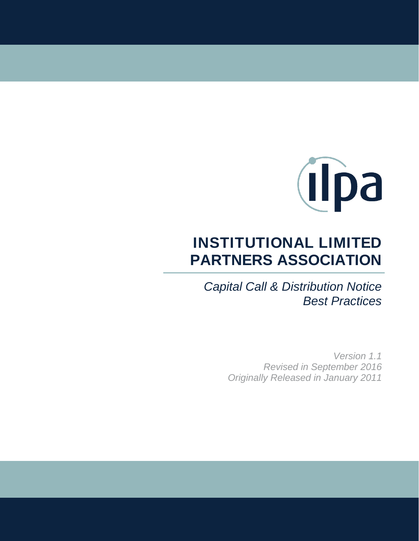

# **INSTITUTIONAL LIMITED PARTNERS ASSOCIATION**

*Capital Call & Distribution Notice Best Practices*

> *Version 1.1 Revised in September 2016 Originally Released in January 2011*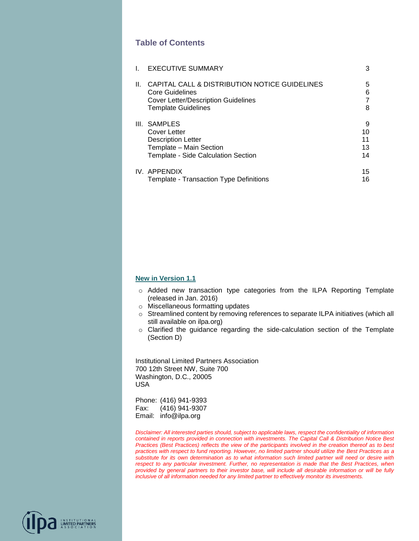### **Table of Contents**

|    | <b>EXECUTIVE SUMMARY</b>                                                | 3      |
|----|-------------------------------------------------------------------------|--------|
| Ш. | CAPITAL CALL & DISTRIBUTION NOTICE GUIDELINES<br><b>Core Guidelines</b> | 5<br>6 |
|    | <b>Cover Letter/Description Guidelines</b>                              | 7      |
|    | <b>Template Guidelines</b>                                              | 8      |
|    | III. SAMPLES                                                            | 9      |
|    | Cover Letter                                                            | 10     |
|    | <b>Description Letter</b>                                               | 11     |
|    | Template - Main Section                                                 | 13     |
|    | Template - Side Calculation Section                                     | 14     |
|    | IV. APPENDIX                                                            | 15     |
|    | Template - Transaction Type Definitions                                 | 16     |

#### **New in Version 1.1**

- o Added new transaction type categories from the ILPA Reporting Template (released in Jan. 2016)
- o Miscellaneous formatting updates
- $\circ$  Streamlined content by removing references to separate ILPA initiatives (which all still available on ilpa.org)
- o Clarified the guidance regarding the side-calculation section of the Template (Section D)

Institutional Limited Partners Association 700 12th Street NW, Suite 700 Washington, D.C., 20005 USA

Phone: (416) 941-9393 Fax: (416) 941-9307 Email: info@ilpa.org

INSTITUTIONAL<br>**LIMITED PARTNERS**<br>ASSOCIATION

*Disclaimer: All interested parties should, subject to applicable laws, respect the confidentiality of information contained in reports provided in connection with investments. The Capital Call & Distribution Notice Best Practices (Best Practices) reflects the view of the participants involved in the creation thereof as to best practices with respect to fund reporting. However, no limited partner should utilize the Best Practices as a substitute for its own determination as to what information such limited partner will need or desire with respect to any particular investment. Further, no representation is made that the Best Practices, when provided by general partners to their investor base, will include all desirable information or will be fully inclusive of all information needed for any limited partner to effectively monitor its investments.*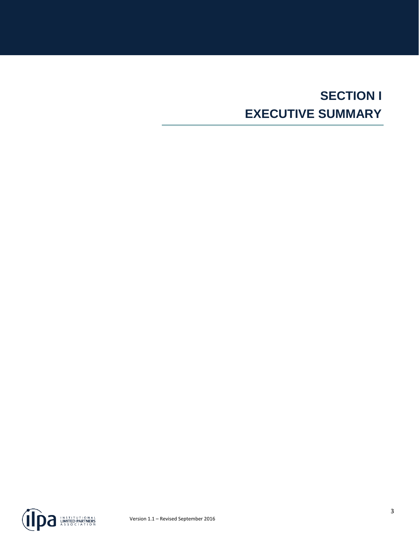# **SECTION I EXECUTIVE SUMMARY**

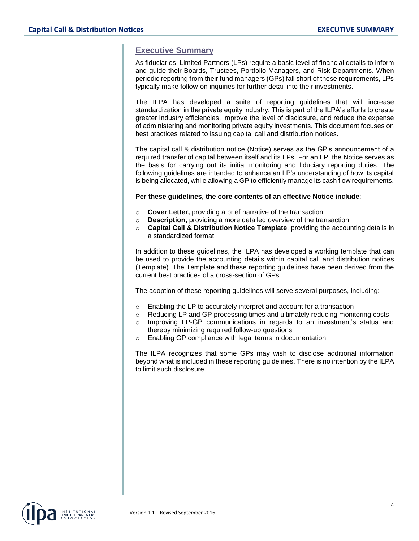### **Executive Summary**

As fiduciaries, Limited Partners (LPs) require a basic level of financial details to inform and guide their Boards, Trustees, Portfolio Managers, and Risk Departments. When periodic reporting from their fund managers (GPs) fall short of these requirements, LPs typically make follow-on inquiries for further detail into their investments.

The ILPA has developed a suite of reporting guidelines that will increase standardization in the private equity industry. This is part of the ILPA's efforts to create greater industry efficiencies, improve the level of disclosure, and reduce the expense of administering and monitoring private equity investments. This document focuses on best practices related to issuing capital call and distribution notices.

The capital call & distribution notice (Notice) serves as the GP's announcement of a required transfer of capital between itself and its LPs. For an LP, the Notice serves as the basis for carrying out its initial monitoring and fiduciary reporting duties. The following guidelines are intended to enhance an LP's understanding of how its capital is being allocated, while allowing a GP to efficiently manage its cash flow requirements.

#### **Per these guidelines, the core contents of an effective Notice include**:

- o **Cover Letter,** providing a brief narrative of the transaction
- o **Description,** providing a more detailed overview of the transaction
- **Capital Call & Distribution Notice Template**, providing the accounting details in a standardized format

In addition to these guidelines, the ILPA has developed a working template that can be used to provide the accounting details within capital call and distribution notices (Template). The Template and these reporting guidelines have been derived from the current best practices of a cross-section of GPs.

The adoption of these reporting guidelines will serve several purposes, including:

- $\circ$  Enabling the LP to accurately interpret and account for a transaction
- $\circ$  Reducing LP and GP processing times and ultimately reducing monitoring costs
- Improving LP-GP communications in regards to an investment's status and thereby minimizing required follow-up questions
- o Enabling GP compliance with legal terms in documentation

The ILPA recognizes that some GPs may wish to disclose additional information beyond what is included in these reporting guidelines. There is no intention by the ILPA to limit such disclosure.

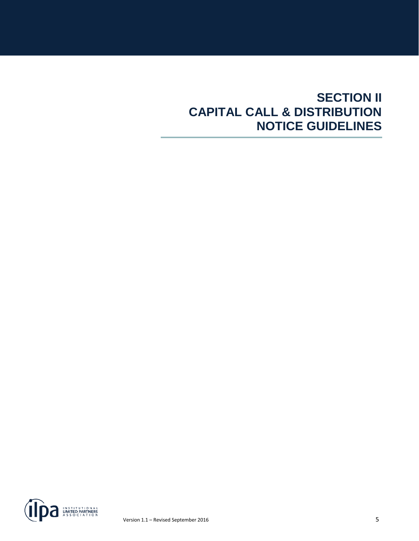## **SECTION II CAPITAL CALL & DISTRIBUTION NOTICE GUIDELINES**

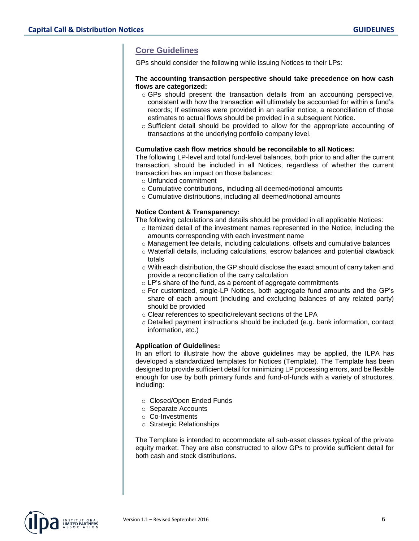## **Core Guidelines**

GPs should consider the following while issuing Notices to their LPs:

#### **The accounting transaction perspective should take precedence on how cash flows are categorized:**

- $\circ$  GPs should present the transaction details from an accounting perspective, consistent with how the transaction will ultimately be accounted for within a fund's records; If estimates were provided in an earlier notice, a reconciliation of those estimates to actual flows should be provided in a subsequent Notice.
- $\circ$  Sufficient detail should be provided to allow for the appropriate accounting of transactions at the underlying portfolio company level.

#### **Cumulative cash flow metrics should be reconcilable to all Notices:**

The following LP-level and total fund-level balances, both prior to and after the current transaction, should be included in all Notices, regardless of whether the current transaction has an impact on those balances:

- o Unfunded commitment
- o Cumulative contributions, including all deemed/notional amounts
- o Cumulative distributions, including all deemed/notional amounts

#### **Notice Content & Transparency:**

The following calculations and details should be provided in all applicable Notices:

- $\circ$  Itemized detail of the investment names represented in the Notice, including the amounts corresponding with each investment name
- o Management fee details, including calculations, offsets and cumulative balances
- o Waterfall details, including calculations, escrow balances and potential clawback totals
- $\circ$  With each distribution, the GP should disclose the exact amount of carry taken and provide a reconciliation of the carry calculation
- o LP's share of the fund, as a percent of aggregate commitments
- $\circ$  For customized, single-LP Notices, both aggregate fund amounts and the GP's share of each amount (including and excluding balances of any related party) should be provided
- o Clear references to specific/relevant sections of the LPA
- o Detailed payment instructions should be included (e.g. bank information, contact information, etc.)

#### **Application of Guidelines:**

In an effort to illustrate how the above guidelines may be applied, the ILPA has developed a standardized templates for Notices (Template). The Template has been designed to provide sufficient detail for minimizing LP processing errors, and be flexible enough for use by both primary funds and fund-of-funds with a variety of structures, including:

- o Closed/Open Ended Funds
- o Separate Accounts
- o Co-Investments
- o Strategic Relationships

The Template is intended to accommodate all sub-asset classes typical of the private equity market. They are also constructed to allow GPs to provide sufficient detail for both cash and stock distributions.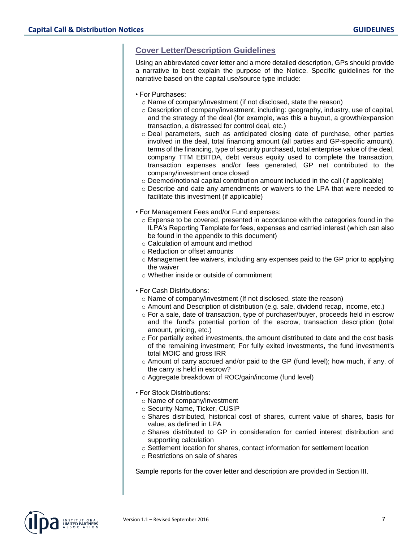## **Cover Letter/Description Guidelines**

Using an abbreviated cover letter and a more detailed description, GPs should provide a narrative to best explain the purpose of the Notice. Specific guidelines for the narrative based on the capital use/source type include:

- For Purchases:
	- o Name of company/investment (if not disclosed, state the reason)
	- $\circ$  Description of company/investment, including: geography, industry, use of capital, and the strategy of the deal (for example, was this a buyout, a growth/expansion transaction, a distressed for control deal, etc.)
	- o Deal parameters, such as anticipated closing date of purchase, other parties involved in the deal, total financing amount (all parties and GP-specific amount), terms of the financing, type of security purchased, total enterprise value of the deal, company TTM EBITDA, debt versus equity used to complete the transaction, transaction expenses and/or fees generated, GP net contributed to the company/investment once closed
	- $\circ$  Deemed/notional capital contribution amount included in the call (if applicable)
	- o Describe and date any amendments or waivers to the LPA that were needed to facilitate this investment (if applicable)
- For Management Fees and/or Fund expenses:
	- $\circ$  Expense to be covered, presented in accordance with the categories found in the ILPA's Reporting Template for fees, expenses and carried interest (which can also be found in the appendix to this document)
	- o Calculation of amount and method
	- o Reduction or offset amounts
	- $\circ$  Management fee waivers, including any expenses paid to the GP prior to applying the waiver
	- o Whether inside or outside of commitment
- For Cash Distributions:
	- o Name of company/investment (If not disclosed, state the reason)
	- $\circ$  Amount and Description of distribution (e.g. sale, dividend recap, income, etc.)
	- $\circ$  For a sale, date of transaction, type of purchaser/buyer, proceeds held in escrow and the fund's potential portion of the escrow, transaction description (total amount, pricing, etc.)
	- o For partially exited investments, the amount distributed to date and the cost basis of the remaining investment; For fully exited investments, the fund investment's total MOIC and gross IRR
	- $\circ$  Amount of carry accrued and/or paid to the GP (fund level); how much, if any, of the carry is held in escrow?
	- o Aggregate breakdown of ROC/gain/income (fund level)
- For Stock Distributions:
	- o Name of company/investment
	- o Security Name, Ticker, CUSIP
	- $\circ$  Shares distributed, historical cost of shares, current value of shares, basis for value, as defined in LPA
	- o Shares distributed to GP in consideration for carried interest distribution and supporting calculation
- o Settlement location for shares, contact information for settlement location
- o Restrictions on sale of shares

Sample reports for the cover letter and description are provided in Section III.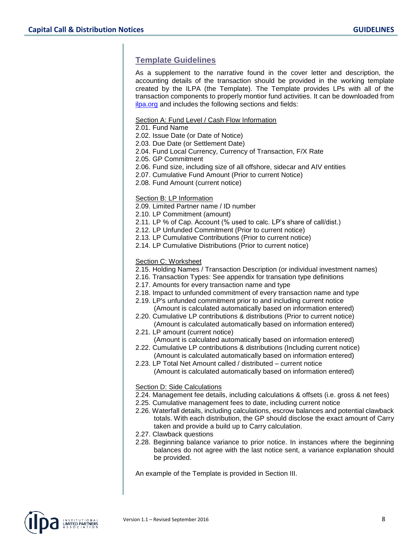## **Template Guidelines**

As a supplement to the narrative found in the cover letter and description, the accounting details of the transaction should be provided in the working template created by the ILPA (the Template). The Template provides LPs with all of the transaction components to properly montior fund activities. It can be downloaded from [ilpa.org](http://ilpa.org/) and includes the following sections and fields:

#### Section A: Fund Level / Cash Flow Information

2.01. Fund Name

- 2.02. Issue Date (or Date of Notice)
- 2.03. Due Date (or Settlement Date)
- 2.04. Fund Local Currency, Currency of Transaction, F/X Rate
- 2.05. GP Commitment
- 2.06. Fund size, including size of all offshore, sidecar and AIV entities
- 2.07. Cumulative Fund Amount (Prior to current Notice)
- 2.08. Fund Amount (current notice)

#### Section B: LP Information

- 2.09. Limited Partner name / ID number
- 2.10. LP Commitment (amount)
- 2.11. LP % of Cap. Account (% used to calc. LP's share of call/dist.)
- 2.12. LP Unfunded Commitment (Prior to current notice)
- 2.13. LP Cumulative Contributions (Prior to current notice)
- 2.14. LP Cumulative Distributions (Prior to current notice)

#### Section C: Worksheet

- 2.15. Holding Names / Transaction Description (or individual investment names)
- 2.16. Transaction Types: See appendix for transation type definitions
- 2.17. Amounts for every transaction name and type
- 2.18. Impact to unfunded commitment of every transaction name and type
- 2.19. LP's unfunded commitment prior to and including current notice
- (Amount is calculated automatically based on information entered) 2.20. Cumulative LP contributions & distributions (Prior to current notice)
- (Amount is calculated automatically based on information entered) 2.21. LP amount (current notice)
- (Amount is calculated automatically based on information entered) 2.22. Cumulative LP contributions & distributions (Including current notice)
- (Amount is calculated automatically based on information entered) 2.23. LP Total Net Amount called / distributed – current notice
- (Amount is calculated automatically based on information entered)

#### Section D: Side Calculations

- 2.24. Management fee details, including calculations & offsets (i.e. gross & net fees)
- 2.25. Cumulative management fees to date, including current notice
- 2.26. Waterfall details, including calculations, escrow balances and potential clawback totals. With each distribution, the GP should disclose the exact amount of Carry taken and provide a build up to Carry calculation.
- 2.27. Clawback questions
- 2.28. Beginning balance variance to prior notice. In instances where the beginning balances do not agree with the last notice sent, a variance explanation should be provided.

An example of the Template is provided in Section III.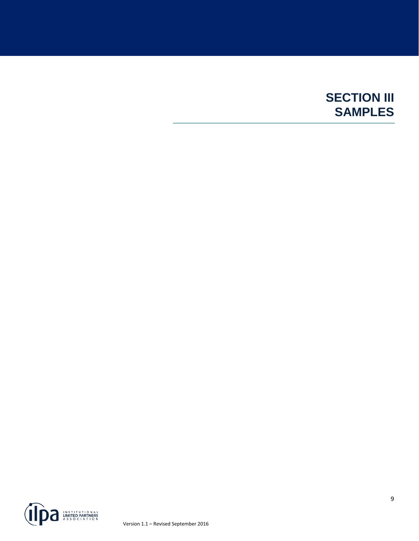## **SECTION III SAMPLES**

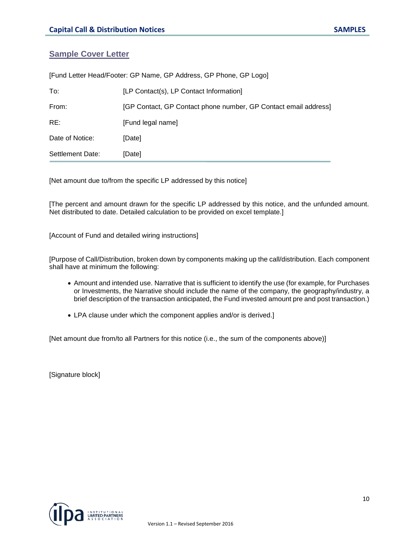## **Sample Cover Letter**

| [Fund Letter Head/Footer: GP Name, GP Address, GP Phone, GP Logo] |                                                                 |  |  |
|-------------------------------------------------------------------|-----------------------------------------------------------------|--|--|
| To:                                                               | [LP Contact(s), LP Contact Information]                         |  |  |
| From:                                                             | [GP Contact, GP Contact phone number, GP Contact email address] |  |  |
| RE:                                                               | [Fund legal name]                                               |  |  |
| Date of Notice:                                                   | [Date]                                                          |  |  |
| Settlement Date:                                                  | [Date]                                                          |  |  |

[Net amount due to/from the specific LP addressed by this notice]

[The percent and amount drawn for the specific LP addressed by this notice, and the unfunded amount. Net distributed to date. Detailed calculation to be provided on excel template.]

[Account of Fund and detailed wiring instructions]

[Purpose of Call/Distribution, broken down by components making up the call/distribution. Each component shall have at minimum the following:

- Amount and intended use. Narrative that is sufficient to identify the use (for example, for Purchases or Investments, the Narrative should include the name of the company, the geography/industry, a brief description of the transaction anticipated, the Fund invested amount pre and post transaction.)
- LPA clause under which the component applies and/or is derived.]

[Net amount due from/to all Partners for this notice (i.e., the sum of the components above)]

[Signature block]

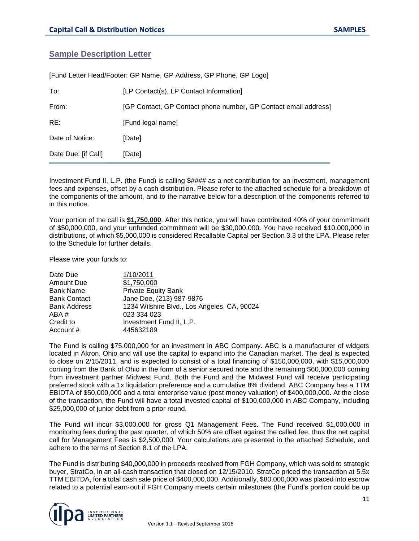#### **Sample Description Letter**

| [Fund Letter Head/Footer: GP Name, GP Address, GP Phone, GP Logo] |                                                                 |  |  |
|-------------------------------------------------------------------|-----------------------------------------------------------------|--|--|
| To:                                                               | [LP Contact(s), LP Contact Information]                         |  |  |
| From:                                                             | [GP Contact, GP Contact phone number, GP Contact email address] |  |  |
| RE:                                                               | [Fund legal name]                                               |  |  |
| Date of Notice:                                                   | [Date]                                                          |  |  |
| Date Due: [if Call]                                               | [Date]                                                          |  |  |

Investment Fund II, L.P. (the Fund) is calling \$#### as a net contribution for an investment, management fees and expenses, offset by a cash distribution. Please refer to the attached schedule for a breakdown of the components of the amount, and to the narrative below for a description of the components referred to in this notice.

Your portion of the call is **\$1,750,000**. After this notice, you will have contributed 40% of your commitment of \$50,000,000, and your unfunded commitment will be \$30,000,000. You have received \$10,000,000 in distributions, of which \$5,000,000 is considered Recallable Capital per Section 3.3 of the LPA. Please refer to the Schedule for further details.

Please wire your funds to:

| 1/10/2011                                   |
|---------------------------------------------|
| \$1,750,000                                 |
| <b>Private Equity Bank</b>                  |
| Jane Doe, (213) 987-9876                    |
| 1234 Wilshire Blvd., Los Angeles, CA, 90024 |
| 023 334 023                                 |
| Investment Fund II, L.P.                    |
| 445632189                                   |
|                                             |

The Fund is calling \$75,000,000 for an investment in ABC Company. ABC is a manufacturer of widgets located in Akron, Ohio and will use the capital to expand into the Canadian market. The deal is expected to close on 2/15/2011, and is expected to consist of a total financing of \$150,000,000, with \$15,000,000 coming from the Bank of Ohio in the form of a senior secured note and the remaining \$60,000,000 coming from investment partner Midwest Fund. Both the Fund and the Midwest Fund will receive participating preferred stock with a 1x liquidation preference and a cumulative 8% dividend. ABC Company has a TTM EBIDTA of \$50,000,000 and a total enterprise value (post money valuation) of \$400,000,000. At the close of the transaction, the Fund will have a total invested capital of \$100,000,000 in ABC Company, including \$25,000,000 of junior debt from a prior round.

The Fund will incur \$3,000,000 for gross Q1 Management Fees. The Fund received \$1,000,000 in monitoring fees during the past quarter, of which 50% are offset against the called fee, thus the net capital call for Management Fees is \$2,500,000. Your calculations are presented in the attached Schedule, and adhere to the terms of Section 8.1 of the LPA.

The Fund is distributing \$40,000,000 in proceeds received from FGH Company, which was sold to strategic buyer, StratCo, in an all-cash transaction that closed on 12/15/2010. StratCo priced the transaction at 5.5x TTM EBITDA, for a total cash sale price of \$400,000,000. Additionally, \$80,000,000 was placed into escrow related to a potential earn-out if FGH Company meets certain milestones (the Fund's portion could be up

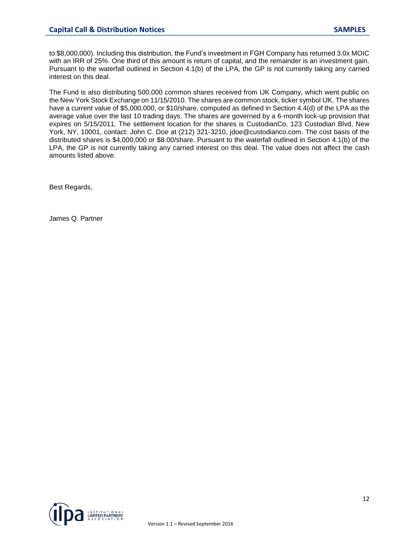to \$8,000,000). Including this distribution, the Fund's investment in FGH Company has returned 3.0x MOIC with an IRR of 25%. One third of this amount is return of capital, and the remainder is an investment gain. Pursuant to the waterfall outlined in Section 4.1(b) of the LPA, the GP is not currently taking any carried interest on this deal.

The Fund is also distributing 500,000 common shares received from IJK Company, which went public on the New York Stock Exchange on 11/15/2010. The shares are common stock, ticker symbol IJK. The shares have a current value of \$5,000,000, or \$10/share, computed as defined in Section 4.4(d) of the LPA as the average value over the last 10 trading days. The shares are governed by a 6‐month lock‐up provision that expires on 5/15/2011. The settlement location for the shares is CustodianCo, 123 Custodian Blvd, New York, NY, 10001, contact: John C. Doe at (212) 321‐3210, jdoe@custodianco.com. The cost basis of the distributed shares is \$4,000,000 or \$8.00/share. Pursuant to the waterfall outlined in Section 4.1(b) of the LPA, the GP is not currently taking any carried interest on this deal. The value does not affect the cash amounts listed above.

Best Regards,

James Q. Partner

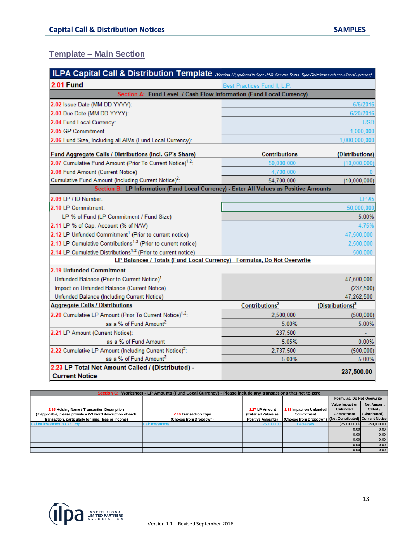## **Template – Main Section**

| ILPA Capital Call & Distribution Template (Version 12 updated in Sept. 2018; See the Trans. Type Definitions tab for a list of updates) |                            |                              |  |  |
|-----------------------------------------------------------------------------------------------------------------------------------------|----------------------------|------------------------------|--|--|
| <b>2.01 Fund</b><br>Best Practices Fund II, L.P.                                                                                        |                            |                              |  |  |
| Section A: Fund Level / Cash Flow Information (Fund Local Currency)                                                                     |                            |                              |  |  |
| 2.02 Issue Date (MM-DD-YYYY):                                                                                                           |                            | 6/6/2016                     |  |  |
| 2.03 Due Date (MM-DD-YYYY):                                                                                                             |                            | 6/20/2016                    |  |  |
| 2.04 Fund Local Currency:                                                                                                               |                            | <b>USD</b>                   |  |  |
| 2.05 GP Commitment                                                                                                                      |                            | 1,000,000                    |  |  |
| 2.06 Fund Size, Including all AIVs (Fund Local Currency):                                                                               |                            | 1,000,000,000                |  |  |
| <b>Fund Aggregate Calls / Distributions (Incl. GP's Share)</b>                                                                          | <b>Contributions</b>       | (Distributions)              |  |  |
| 2.07 Cumulative Fund Amount (Prior To Current Notice) <sup>1,2</sup> :                                                                  | 50,000,000                 | (10,000,000)                 |  |  |
| 2.08 Fund Amount (Current Notice)                                                                                                       | 4,700,000                  |                              |  |  |
| Cumulative Fund Amount (Including Current Notice) <sup>2</sup> :                                                                        | 54,700,000                 | (10,000,000)                 |  |  |
| Section B: LP Information (Fund Local Currency) - Enter All Values as Positive Amounts                                                  |                            |                              |  |  |
| 2.09 LP / ID Number:                                                                                                                    |                            | LP #5                        |  |  |
| 2.10 LP Commitment:                                                                                                                     |                            | 50,000,000                   |  |  |
| LP % of Fund (LP Commitment / Fund Size)                                                                                                |                            | 5.00%                        |  |  |
| 2.11 LP % of Cap. Account (% of NAV)                                                                                                    |                            | 4.75%                        |  |  |
| 2.12 LP Unfunded Commitment <sup>1</sup> (Prior to current notice)                                                                      |                            | 47,500,000                   |  |  |
| 2.13 LP Cumulative Contributions <sup>1,2</sup> (Prior to current notice)                                                               |                            | 2,500,000                    |  |  |
| 2.14 LP Cumulative Distributions <sup>1,2</sup> (Prior to current notice)<br>500,000                                                    |                            |                              |  |  |
| LP Balances / Totals (Fund Local Currency) - Formulas, Do Not Overwrite                                                                 |                            |                              |  |  |
| 2.19 Unfunded Commitment                                                                                                                |                            |                              |  |  |
| Unfunded Balance (Prior to Current Notice) <sup>1</sup>                                                                                 |                            | 47,500,000                   |  |  |
| Impact on Unfunded Balance (Current Notice)                                                                                             |                            | (237, 500)                   |  |  |
| Unfunded Balance (Including Current Notice)                                                                                             |                            | 47,262,500                   |  |  |
| <b>Aggregate Calls / Distributions</b>                                                                                                  | Contributions <sup>2</sup> | (Distributions) <sup>2</sup> |  |  |
| 2.20 Cumulative LP Amount (Prior To Current Notice) <sup>1,2</sup> :                                                                    | 2,500,000                  | (500, 000)                   |  |  |
| as a % of Fund Amount <sup>2</sup>                                                                                                      | 5.00%                      | 5.00%                        |  |  |
| 2.21 LP Amount (Current Notice):                                                                                                        | 237,500                    |                              |  |  |
| as a % of Fund Amount                                                                                                                   | 5.05%                      | 0.00%                        |  |  |
| 2.22 Cumulative LP Amount (Including Current Notice) <sup>2</sup> :                                                                     | 2,737,500                  | (500, 000)                   |  |  |
| as a % of Fund Amount <sup>2</sup>                                                                                                      | 5.00%                      | 5.00%                        |  |  |
| 2.23 LP Total Net Amount Called / (Distributed) -<br><b>Current Notice</b>                                                              |                            | 237,500.00                   |  |  |

| Section C: Worksheet - LP Amounts (Fund Local Currency) - Please include any transactions that net to zero |                        |                          |                                                         |                            |                   |
|------------------------------------------------------------------------------------------------------------|------------------------|--------------------------|---------------------------------------------------------|----------------------------|-------------------|
|                                                                                                            |                        |                          |                                                         | Formulas, Do Not Overwrite |                   |
|                                                                                                            |                        |                          |                                                         | Value Impact on            | <b>Net Amount</b> |
| 2.15 Holding Name / Transaction Description                                                                |                        | 2.17 LP Amount           | 2.18 Impact on Unfunded                                 | <b>Unfunded</b>            | Called /          |
| (If applicable, please provide a 2-3 word description of each                                              | 2.16 Transaction Type  | (Enter all Values as     | Commitment                                              | Commitment                 | (Distributed) -   |
| transaction, particularly for misc. fees or income)                                                        | (Choose from Dropdown) | <b>Positive Amounts)</b> | (Choose from Dropdown) (Net Contributed) Current Notice |                            |                   |
| Call for investment in XYZ Corp                                                                            | Call: Investments      | 250,000.00               | <b>Decreases</b>                                        | (250,000.00)               | 250,000.00        |
|                                                                                                            |                        |                          |                                                         | 0.00 <sub>l</sub>          | 0.00              |
|                                                                                                            |                        |                          |                                                         | 0.00                       | 0.00              |
|                                                                                                            |                        |                          |                                                         | 0.00                       | 0.00              |
|                                                                                                            |                        |                          |                                                         | 0.00                       | 0.00              |
|                                                                                                            |                        |                          |                                                         | 0.00                       | 0.00              |

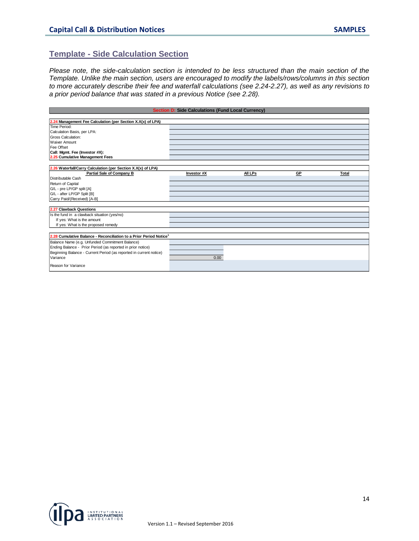### **Template - Side Calculation Section**

*Please note, the side-calculation section is intended to be less structured than the main section of the Template. Unlike the main section, users are encouraged to modify the labels/rows/columns in this section to more accurately describe their fee and waterfall calculations (see 2.24-2.27), as well as any revisions to a prior period balance that was stated in a previous Notice (see 2.28).*

| <b>Section D: Side Calculations (Fund Local Currency)</b>                      |             |         |           |       |
|--------------------------------------------------------------------------------|-------------|---------|-----------|-------|
|                                                                                |             |         |           |       |
| 2.24 Management Fee Calculation (per Section X. $X(x)$ of LPA)                 |             |         |           |       |
| Time Period:                                                                   |             |         |           |       |
| Calculation Basis, per LPA:                                                    |             |         |           |       |
| <b>Gross Calculation:</b>                                                      |             |         |           |       |
| <b>Waiver Amount</b>                                                           |             |         |           |       |
| Fee Offset                                                                     |             |         |           |       |
| Call: Mgmt. Fee (Investor #X):                                                 |             |         |           |       |
| 2.25 Cumulative Management Fees                                                |             |         |           |       |
|                                                                                |             |         |           |       |
| 2.26 Waterfall/Carry Calculation (per Section X.X(x) of LPA)                   |             |         |           |       |
| Partial Sale of Company B                                                      | Investor #X | All LPs | <b>GP</b> | Total |
| Distributable Cash                                                             |             |         |           |       |
| Return of Capital                                                              |             |         |           |       |
| G/L - pre LP/GP split [A]                                                      |             |         |           |       |
| G/L - after LP/GP Split [B]                                                    |             |         |           |       |
| Carry Paid/(Received) [A-B]                                                    |             |         |           |       |
|                                                                                |             |         |           |       |
| 2.27 Clawback Questions                                                        |             |         |           |       |
| Is the fund in a clawback situation (yes/no)                                   |             |         |           |       |
| If yes: What is the amount                                                     |             |         |           |       |
| If yes: What is the proposed remedy                                            |             |         |           |       |
|                                                                                |             |         |           |       |
| 2.28 Cumulative Balance - Reconciliation to a Prior Period Notice <sup>1</sup> |             |         |           |       |
| Balance Name (e.g. Unfunded Commitment Balance)                                |             |         |           |       |
| Ending Balance - Prior Period (as reported in prior notice)                    |             |         |           |       |
| Beginning Balance - Current Period (as reported in current notice)             |             |         |           |       |
| Variance                                                                       | 0.00        |         |           |       |
|                                                                                |             |         |           |       |
| Reason for Variance                                                            |             |         |           |       |

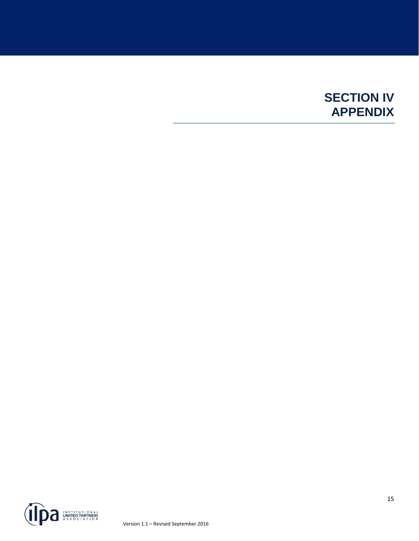## **SECTION IV APPENDIX**

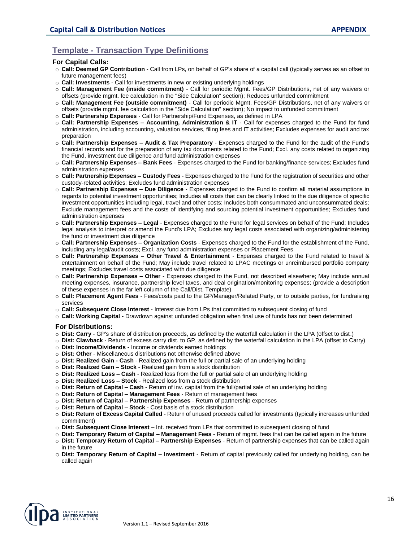## **Template - Transaction Type Definitions**

#### **For Capital Calls:**

- o **Call: Deemed GP Contribution** Call from LPs, on behalf of GP's share of a capital call (typically serves as an offset to future management fees)
- o **Call: Investments** Call for investments in new or existing underlying holdings
- o **Call: Management Fee (inside commitment)** Call for periodic Mgmt. Fees/GP Distributions, net of any waivers or offsets (provide mgmt. fee calculation in the "Side Calculation" section); Reduces unfunded commitment
- o **Call: Management Fee (outside commitment)** Call for periodic Mgmt. Fees/GP Distributions, net of any waivers or offsets (provide mgmt. fee calculation in the "Side Calculation" section); No impact to unfunded commitment
- o **Call: Partnership Expenses** Call for Partnership/Fund Expenses, as defined in LPA
- o **Call: Partnership Expenses – Accounting, Administration & IT** Call for expenses charged to the Fund for fund administration, including accounting, valuation services, filing fees and IT activities; Excludes expenses for audit and tax preparation
- o **Call: Partnership Expenses – Audit & Tax Preparatory** Expenses charged to the Fund for the audit of the Fund's financial records and for the preparation of any tax documents related to the Fund; Excl. any costs related to organizing the Fund, investment due diligence and fund administration expenses
- o **Call: Partnership Expenses – Bank Fees** Expenses charged to the Fund for banking/finance services; Excludes fund administration expenses
- o **Call: Partnership Expenses – Custody Fees** Expenses charged to the Fund for the registration of securities and other custody-related activities; Excludes fund administration expenses
- o **Call: Partnership Expenses – Due Diligence** Expenses charged to the Fund to confirm all material assumptions in regards to potential investment opportunities; Includes all costs that can be clearly linked to the due diligence of specific investment opportunities including legal, travel and other costs; Includes both consummated and unconsummated deals; Exclude management fees and the costs of identifying and sourcing potential investment opportunities; Excludes fund administration expenses
- o **Call: Partnership Expenses – Legal** Expenses charged to the Fund for legal services on behalf of the Fund; Includes legal analysis to interpret or amend the Fund's LPA; Excludes any legal costs associated with organizing/administering the fund or investment due diligence
- o **Call: Partnership Expenses – Organization Costs** Expenses charged to the Fund for the establishment of the Fund, including any legal/audit costs; Excl. any fund administration expenses or Placement Fees
- o **Call: Partnership Expenses – Other Travel & Entertainment** Expenses charged to the Fund related to travel & entertainment on behalf of the Fund; May include travel related to LPAC meetings or unreimbursed portfolio company meetings; Excludes travel costs associated with due diligence
- o **Call: Partnership Expenses – Other** Expenses charged to the Fund, not described elsewhere; May include annual meeting expenses, insurance, partnership level taxes, and deal origination/monitoring expenses; (provide a description of these expenses in the far left column of the Call/Dist. Template)
- o **Call: Placement Agent Fees** Fees/costs paid to the GP/Manager/Related Party, or to outside parties, for fundraising services
- o **Call: Subsequent Close Interest** Interest due from LPs that committed to subsequent closing of fund
- o **Call: Working Capital** Drawdown against unfunded obligation when final use of funds has not been determined

#### **For Distributions:**

- o **Dist: Carry** GP's share of distribution proceeds, as defined by the waterfall calculation in the LPA (offset to dist.)
- o **Dist: Clawback** Return of excess carry dist. to GP, as defined by the waterfall calculation in the LPA (offset to Carry)
- o **Dist: Income/Dividends** Income or dividends earned holdings
- o **Dist: Other** Miscellaneous distributions not otherwise defined above
- o **Dist: Realized Gain - Cash** Realized gain from the full or partial sale of an underlying holding
- o **Dist: Realized Gain – Stock** Realized gain from a stock distribution
- o **Dist: Realized Loss – Cash** Realized loss from the full or partial sale of an underlying holding
- o **Dist: Realized Loss – Stock** Realized loss from a stock distribution
- o **Dist: Return of Capital – Cash** Return of inv. capital from the full/partial sale of an underlying holding
- o **Dist: Return of Capital – Management Fees** Return of management fees
- o **Dist: Return of Capital – Partnership Expenses** Return of partnership expenses
- o **Dist: Return of Capital – Stock** Cost basis of a stock distribution
- o **Dist: Return of Excess Capital Called** Return of unused proceeds called for investments (typically increases unfunded commitment)
- o **Dist: Subsequent Close Interest** Int. received from LPs that committed to subsequent closing of fund
- o **Dist: Temporary Return of Capital – Management Fees** Return of mgmt. fees that can be called again in the future
- o **Dist: Temporary Return of Capital – Partnership Expenses** Return of partnership expenses that can be called again in the future
- o **Dist: Temporary Return of Capital – Investment** Return of capital previously called for underlying holding, can be called again